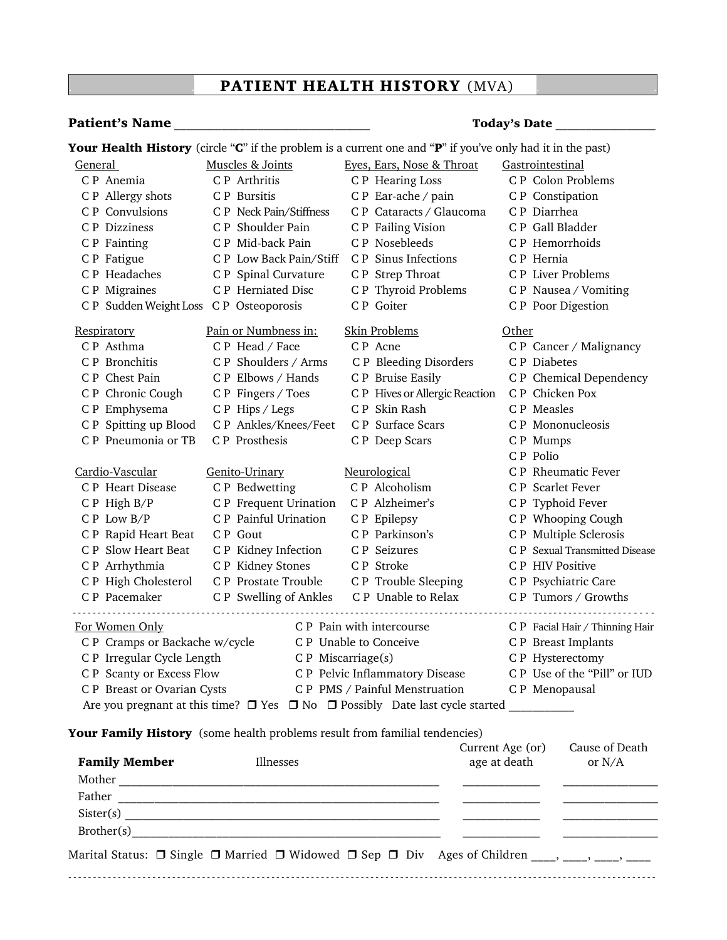## .. **PATIENT HEALTH HISTORY** (MVA) ..

## **Patient's Name Patient's Name Patient's Name Your Health History** (circle "**C**" if the problem is a current one and "**P**" if you've only had it in the past) General Muscles & Joints Eyes, Ears, Nose & Throat Gastrointestinal C P Anemia C P Arthritis C P Hearing Loss C P Colon Problems C P Allergy shots C P Bursitis C P Ear-ache / pain C P Constipation C P Convulsions C P Neck Pain/Stiffness C P Cataracts / Glaucoma C P Diarrhea C P Dizziness C P Shoulder Pain C P Failing Vision C P Gall Bladder C P Fainting C P Mid-back Pain C P Nosebleeds C P Hemorrhoids C P Fatigue C P Low Back Pain/Stiff C P Sinus Infections C P Hernia C P Headaches C P Spinal Curvature C P Strep Throat C P Liver Problems C P Migraines C P Herniated Disc C P Thyroid Problems C P Nausea / Vomiting C P Sudden Weight Loss C P Osteoporosis C P Goiter C P Poor Digestion Respiratory **Pain or Numbness in:** Skin Problems **Other** C P Asthma **C P Head / Face C P Acne C P C C P Cancer / Malignancy**  C P Bronchitis C P Shoulders / Arms C P Bleeding Disorders C P Diabetes C P Chest Pain C P Elbows / Hands C P Bruise Easily C P Chemical Dependency C P Chronic Cough C P Fingers / Toes C P Hives or Allergic Reaction C P Chicken Pox C P Emphysema C P Hips / Legs C P Skin Rash C P Measles C P Spitting up Blood C P Ankles/Knees/Feet C P Surface Scars C P Mononucleosis C P Pneumonia or TB C P Prosthesis C P Deep Scars C P Mumps C P Polio Cardio-Vascular Genito-Urinary Neurological C P Rheumatic Fever C P Heart Disease C P Bedwetting C P Alcoholism C P Scarlet Fever C P High B/P C P Frequent Urination C P Alzheimer's C P Typhoid Fever C P Low B/P C P Painful Urination C P Epilepsy C P Whooping Cough C P Rapid Heart Beat C P Gout C P Parkinson's C P Multiple Sclerosis C P Slow Heart Beat C P Kidney Infection C P Seizures C P Sexual Transmitted Disease C P Arrhythmia C P Kidney Stones C P Stroke C P HIV Positive C P High Cholesterol C P Prostate Trouble C P Trouble Sleeping C P Psychiatric Care C P Pacemaker C P Swelling of Ankles C P Unable to Relax C P Tumors / Growths For Women Only **CP** Pain with intercourse **CP** Facial Hair / Thinning Hair C P Cramps or Backache w/cycle C P Unable to Conceive C P Breast Implants C P Irregular Cycle Length C P Miscarriage(s) C P Hysterectomy C P Scanty or Excess Flow C P Pelvic Inflammatory Disease C P Use of the "Pill" or IUD C P Breast or Ovarian Cysts C P PMS / Painful Menstruation C P Menopausal Are you pregnant at this time? Yes No Possibly Date last cycle started \_\_\_\_\_\_\_\_\_\_\_ **Your Family History** (some health problems result from familial tendencies) Current Age (or) Cause of Death **Family Member Illnesses age at death** or N/A

| <b>Family Member</b> | <b>Illnesses</b>                                                                                                          | age at death | or N/A |
|----------------------|---------------------------------------------------------------------------------------------------------------------------|--------------|--------|
| Mother               |                                                                                                                           |              |        |
| Father               |                                                                                                                           |              |        |
| Sister(s)            |                                                                                                                           |              |        |
| Brother(s)           |                                                                                                                           |              |        |
|                      | Marital Status: $\Box$ Single $\Box$ Married $\Box$ Widowed $\Box$ Sep $\Box$ Div Ages of Children ____, ____, ____, ____ |              |        |

- - - - - - - - - - - - - - - - - - - - - - - - - - - - - - - - - - - - - - - - - - - - - - - - - - - - - - - - - - - - - - - - - - - - - - - - - - - - - - - - - - - - - - - - - - - - - - - - - - - - - - - - - - - - - - - - - - - - - - -